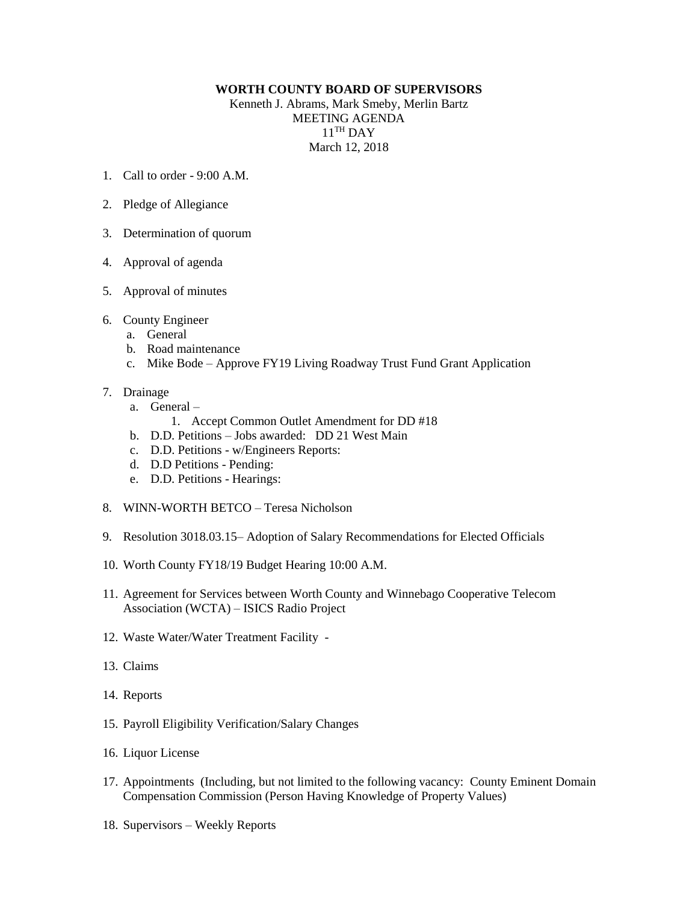## **WORTH COUNTY BOARD OF SUPERVISORS**

Kenneth J. Abrams, Mark Smeby, Merlin Bartz MEETING AGENDA  $11<sup>TH</sup>$  DAY March 12, 2018

- 1. Call to order 9:00 A.M.
- 2. Pledge of Allegiance
- 3. Determination of quorum
- 4. Approval of agenda
- 5. Approval of minutes
- 6. County Engineer
	- a. General
	- b. Road maintenance
	- c. Mike Bode Approve FY19 Living Roadway Trust Fund Grant Application
- 7. Drainage
	- a. General
		- 1. Accept Common Outlet Amendment for DD #18
	- b. D.D. Petitions Jobs awarded: DD 21 West Main
	- c. D.D. Petitions w/Engineers Reports:
	- d. D.D Petitions Pending:
	- e. D.D. Petitions Hearings:
- 8. WINN-WORTH BETCO Teresa Nicholson
- 9. Resolution 3018.03.15– Adoption of Salary Recommendations for Elected Officials
- 10. Worth County FY18/19 Budget Hearing 10:00 A.M.
- 11. Agreement for Services between Worth County and Winnebago Cooperative Telecom Association (WCTA) – ISICS Radio Project
- 12. Waste Water/Water Treatment Facility -
- 13. Claims
- 14. Reports
- 15. Payroll Eligibility Verification/Salary Changes
- 16. Liquor License
- 17. Appointments (Including, but not limited to the following vacancy: County Eminent Domain Compensation Commission (Person Having Knowledge of Property Values)
- 18. Supervisors Weekly Reports